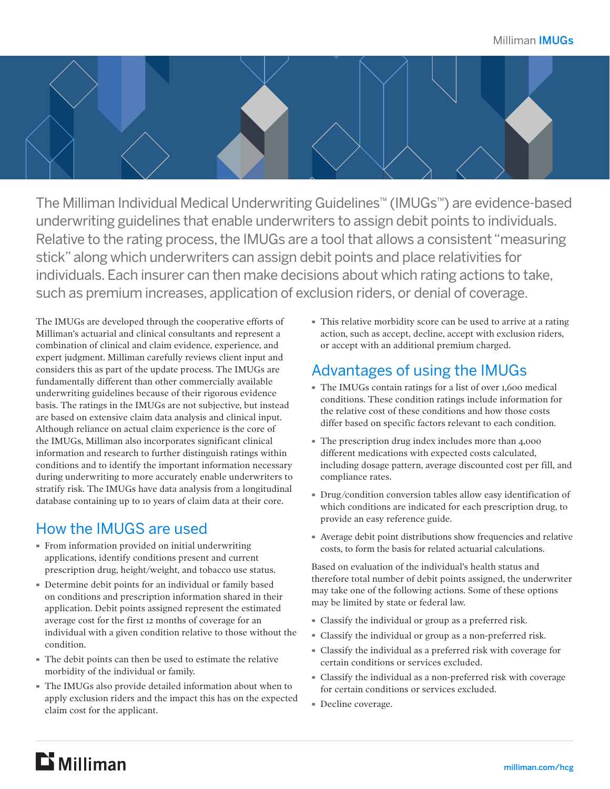

The Milliman Individual Medical Underwriting Guidelines™ (IMUGs™) are evidence-based underwriting guidelines that enable underwriters to assign debit points to individuals. Relative to the rating process, the IMUGs are a tool that allows a consistent "measuring stick" along which underwriters can assign debit points and place relativities for individuals. Each insurer can then make decisions about which rating actions to take, such as premium increases, application of exclusion riders, or denial of coverage.

The IMUGs are developed through the cooperative efforts of Milliman's actuarial and clinical consultants and represent a combination of clinical and claim evidence, experience, and expert judgment. Milliman carefully reviews client input and considers this as part of the update process. The IMUGs are fundamentally different than other commercially available underwriting guidelines because of their rigorous evidence basis. The ratings in the IMUGs are not subjective, but instead are based on extensive claim data analysis and clinical input. Although reliance on actual claim experience is the core of the IMUGs, Milliman also incorporates significant clinical information and research to further distinguish ratings within conditions and to identify the important information necessary during underwriting to more accurately enable underwriters to stratify risk. The IMUGs have data analysis from a longitudinal database containing up to 10 years of claim data at their core.

### How the IMUGS are used

- · From information provided on initial underwriting applications, identify conditions present and current prescription drug, height/weight, and tobacco use status.
- · Determine debit points for an individual or family based on conditions and prescription information shared in their application. Debit points assigned represent the estimated average cost for the first 12 months of coverage for an individual with a given condition relative to those without the condition.
- · The debit points can then be used to estimate the relative morbidity of the individual or family.
- · The IMUGs also provide detailed information about when to apply exclusion riders and the impact this has on the expected claim cost for the applicant.

· This relative morbidity score can be used to arrive at a rating action, such as accept, decline, accept with exclusion riders, or accept with an additional premium charged.

## Advantages of using the IMUGs

- · The IMUGs contain ratings for a list of over 1,600 medical conditions. These condition ratings include information for the relative cost of these conditions and how those costs differ based on specific factors relevant to each condition.
- · The prescription drug index includes more than 4,000 different medications with expected costs calculated, including dosage pattern, average discounted cost per fill, and compliance rates.
- · Drug/condition conversion tables allow easy identification of which conditions are indicated for each prescription drug, to provide an easy reference guide.
- · Average debit point distributions show frequencies and relative costs, to form the basis for related actuarial calculations.

Based on evaluation of the individual's health status and therefore total number of debit points assigned, the underwriter may take one of the following actions. Some of these options may be limited by state or federal law.

- · Classify the individual or group as a preferred risk.
- · Classify the individual or group as a non-preferred risk.
- · Classify the individual as a preferred risk with coverage for certain conditions or services excluded.
- · Classify the individual as a non-preferred risk with coverage for certain conditions or services excluded.
- · Decline coverage.

## $E$  Milliman